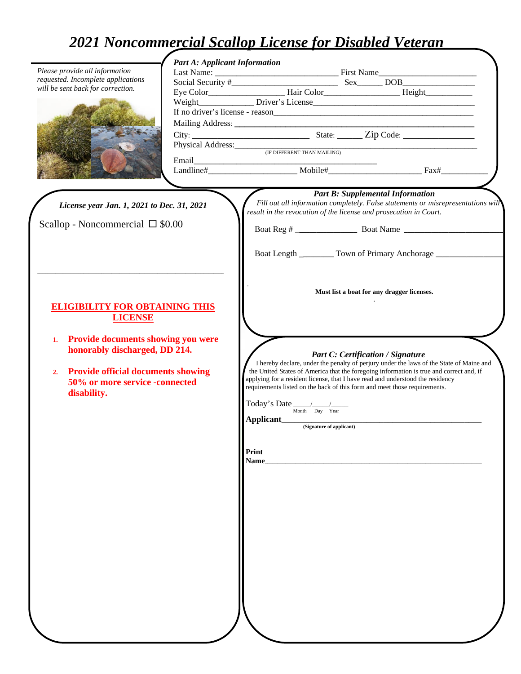# *2021 Noncommercial Scallop License for Disabled Veteran*

|                                                                                   | <b>Part A: Applicant Information</b>          |                                                                                                                                                                        |                                                                                                                                                                                    |
|-----------------------------------------------------------------------------------|-----------------------------------------------|------------------------------------------------------------------------------------------------------------------------------------------------------------------------|------------------------------------------------------------------------------------------------------------------------------------------------------------------------------------|
| Please provide all information                                                    |                                               |                                                                                                                                                                        |                                                                                                                                                                                    |
| requested. Incomplete applications<br>will be sent back for correction.           |                                               |                                                                                                                                                                        |                                                                                                                                                                                    |
|                                                                                   |                                               |                                                                                                                                                                        |                                                                                                                                                                                    |
|                                                                                   |                                               |                                                                                                                                                                        |                                                                                                                                                                                    |
|                                                                                   |                                               |                                                                                                                                                                        |                                                                                                                                                                                    |
|                                                                                   |                                               |                                                                                                                                                                        |                                                                                                                                                                                    |
|                                                                                   |                                               |                                                                                                                                                                        |                                                                                                                                                                                    |
|                                                                                   | Physical Address: (IF DIFFERENT THAN MAILING) |                                                                                                                                                                        |                                                                                                                                                                                    |
|                                                                                   | Email                                         |                                                                                                                                                                        |                                                                                                                                                                                    |
|                                                                                   |                                               |                                                                                                                                                                        |                                                                                                                                                                                    |
|                                                                                   |                                               |                                                                                                                                                                        |                                                                                                                                                                                    |
|                                                                                   |                                               |                                                                                                                                                                        | <b>Part B: Supplemental Information</b>                                                                                                                                            |
| License year Jan. 1, 2021 to Dec. 31, 2021                                        |                                               | Fill out all information completely. False statements or misrepresentations will                                                                                       |                                                                                                                                                                                    |
|                                                                                   |                                               | result in the revocation of the license and prosecution in Court.                                                                                                      |                                                                                                                                                                                    |
| Scallop - Noncommercial $\square$ \$0.00                                          |                                               |                                                                                                                                                                        |                                                                                                                                                                                    |
|                                                                                   |                                               |                                                                                                                                                                        |                                                                                                                                                                                    |
|                                                                                   |                                               | Boat Length __________ Town of Primary Anchorage ________________________________                                                                                      |                                                                                                                                                                                    |
|                                                                                   |                                               |                                                                                                                                                                        |                                                                                                                                                                                    |
|                                                                                   |                                               |                                                                                                                                                                        |                                                                                                                                                                                    |
|                                                                                   |                                               | Must list a boat for any dragger licenses.                                                                                                                             |                                                                                                                                                                                    |
| <b>ELIGIBILITY FOR OBTAINING THIS</b>                                             |                                               |                                                                                                                                                                        |                                                                                                                                                                                    |
| <b>LICENSE</b>                                                                    |                                               |                                                                                                                                                                        |                                                                                                                                                                                    |
|                                                                                   |                                               |                                                                                                                                                                        |                                                                                                                                                                                    |
| <b>Provide documents showing you were</b><br>1.                                   |                                               |                                                                                                                                                                        |                                                                                                                                                                                    |
| honorably discharged, DD 214.                                                     |                                               |                                                                                                                                                                        |                                                                                                                                                                                    |
|                                                                                   |                                               |                                                                                                                                                                        | Part C: Certification / Signature                                                                                                                                                  |
| <b>Provide official documents showing</b><br>2.<br>50% or more service -connected |                                               |                                                                                                                                                                        | I hereby declare, under the penalty of perjury under the laws of the State of Maine and<br>the United States of America that the foregoing information is true and correct and, if |
|                                                                                   |                                               | applying for a resident license, that I have read and understood the residency                                                                                         |                                                                                                                                                                                    |
| disability.                                                                       |                                               | requirements listed on the back of this form and meet those requirements.                                                                                              |                                                                                                                                                                                    |
|                                                                                   |                                               |                                                                                                                                                                        |                                                                                                                                                                                    |
|                                                                                   |                                               | $\text{Today's Date} \underset{\text{Month}}{\underbrace{\hspace{1.5cm}}\hspace{1.5cm}} \underset{\text{Day} \text{ Year}}{\underbrace{\hspace{1.5cm}}\hspace{1.5cm}}$ |                                                                                                                                                                                    |
|                                                                                   |                                               | ${\large \bf Application t \hspace{2cm} \over \hspace{2cm} \scriptstyle ({{\rm Signature \hspace{1.5mm} of \hspace{1.5mm} application})}}$                             |                                                                                                                                                                                    |
|                                                                                   |                                               |                                                                                                                                                                        |                                                                                                                                                                                    |
|                                                                                   |                                               |                                                                                                                                                                        |                                                                                                                                                                                    |
|                                                                                   |                                               | Print                                                                                                                                                                  |                                                                                                                                                                                    |
|                                                                                   |                                               | Name                                                                                                                                                                   |                                                                                                                                                                                    |
|                                                                                   |                                               |                                                                                                                                                                        |                                                                                                                                                                                    |
|                                                                                   |                                               |                                                                                                                                                                        |                                                                                                                                                                                    |
|                                                                                   |                                               |                                                                                                                                                                        |                                                                                                                                                                                    |
|                                                                                   |                                               |                                                                                                                                                                        |                                                                                                                                                                                    |
|                                                                                   |                                               |                                                                                                                                                                        |                                                                                                                                                                                    |
|                                                                                   |                                               |                                                                                                                                                                        |                                                                                                                                                                                    |
|                                                                                   |                                               |                                                                                                                                                                        |                                                                                                                                                                                    |
|                                                                                   |                                               |                                                                                                                                                                        |                                                                                                                                                                                    |
|                                                                                   |                                               |                                                                                                                                                                        |                                                                                                                                                                                    |
|                                                                                   |                                               |                                                                                                                                                                        |                                                                                                                                                                                    |
|                                                                                   |                                               |                                                                                                                                                                        |                                                                                                                                                                                    |
|                                                                                   |                                               |                                                                                                                                                                        |                                                                                                                                                                                    |
|                                                                                   |                                               |                                                                                                                                                                        |                                                                                                                                                                                    |
|                                                                                   |                                               |                                                                                                                                                                        |                                                                                                                                                                                    |
|                                                                                   |                                               |                                                                                                                                                                        |                                                                                                                                                                                    |
|                                                                                   |                                               |                                                                                                                                                                        |                                                                                                                                                                                    |